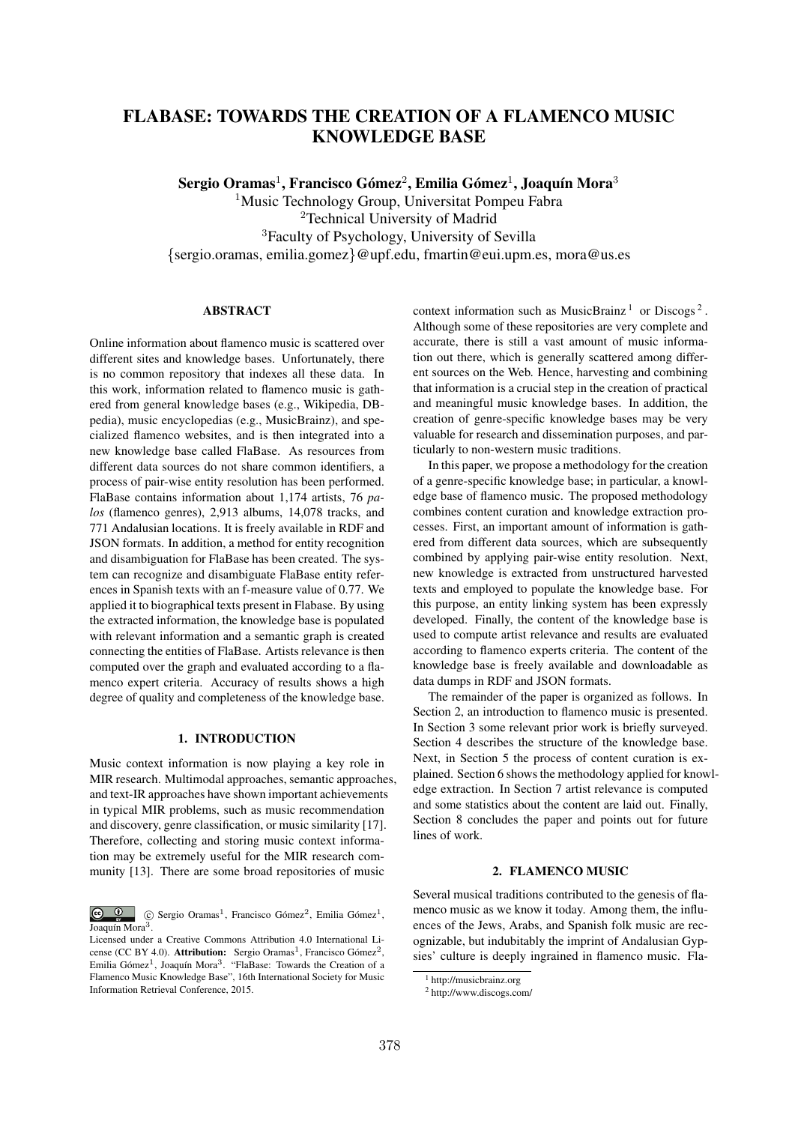# FLABASE: TOWARDS THE CREATION OF A FLAMENCO MUSIC KNOWLEDGE BASE

Sergio Oramas<sup>1</sup>, Francisco Gómez<sup>2</sup>, Emilia Gómez<sup>1</sup>, Joaquín Mora<sup>3</sup>

<sup>1</sup>Music Technology Group, Universitat Pompeu Fabra <sup>2</sup>Technical University of Madrid <sup>3</sup>Faculty of Psychology, University of Sevilla *{*sergio.oramas, emilia.gomez*}*@upf.edu, fmartin@eui.upm.es, mora@us.es

### ABSTRACT

Online information about flamenco music is scattered over different sites and knowledge bases. Unfortunately, there is no common repository that indexes all these data. In this work, information related to flamenco music is gathered from general knowledge bases (e.g., Wikipedia, DBpedia), music encyclopedias (e.g., MusicBrainz), and specialized flamenco websites, and is then integrated into a new knowledge base called FlaBase. As resources from different data sources do not share common identifiers, a process of pair-wise entity resolution has been performed. FlaBase contains information about 1,174 artists, 76 *palos* (flamenco genres), 2,913 albums, 14,078 tracks, and 771 Andalusian locations. It is freely available in RDF and JSON formats. In addition, a method for entity recognition and disambiguation for FlaBase has been created. The system can recognize and disambiguate FlaBase entity references in Spanish texts with an f-measure value of 0.77. We applied it to biographical texts present in Flabase. By using the extracted information, the knowledge base is populated with relevant information and a semantic graph is created connecting the entities of FlaBase. Artists relevance is then computed over the graph and evaluated according to a flamenco expert criteria. Accuracy of results shows a high degree of quality and completeness of the knowledge base.

# 1. INTRODUCTION

Music context information is now playing a key role in MIR research. Multimodal approaches, semantic approaches, and text-IR approaches have shown important achievements in typical MIR problems, such as music recommendation and discovery, genre classification, or music similarity [17]. Therefore, collecting and storing music context information may be extremely useful for the MIR research community [13]. There are some broad repositories of music

context information such as MusicBrainz<sup>1</sup> or Discogs<sup>2</sup>. Although some of these repositories are very complete and accurate, there is still a vast amount of music information out there, which is generally scattered among different sources on the Web. Hence, harvesting and combining that information is a crucial step in the creation of practical and meaningful music knowledge bases. In addition, the creation of genre-specific knowledge bases may be very valuable for research and dissemination purposes, and particularly to non-western music traditions.

In this paper, we propose a methodology for the creation of a genre-specific knowledge base; in particular, a knowledge base of flamenco music. The proposed methodology combines content curation and knowledge extraction processes. First, an important amount of information is gathered from different data sources, which are subsequently combined by applying pair-wise entity resolution. Next, new knowledge is extracted from unstructured harvested texts and employed to populate the knowledge base. For this purpose, an entity linking system has been expressly developed. Finally, the content of the knowledge base is used to compute artist relevance and results are evaluated according to flamenco experts criteria. The content of the knowledge base is freely available and downloadable as data dumps in RDF and JSON formats.

The remainder of the paper is organized as follows. In Section 2, an introduction to flamenco music is presented. In Section 3 some relevant prior work is briefly surveyed. Section 4 describes the structure of the knowledge base. Next, in Section 5 the process of content curation is explained. Section 6 shows the methodology applied for knowledge extraction. In Section 7 artist relevance is computed and some statistics about the content are laid out. Finally, Section 8 concludes the paper and points out for future lines of work.

# 2. FLAMENCO MUSIC

Several musical traditions contributed to the genesis of flamenco music as we know it today. Among them, the influences of the Jews, Arabs, and Spanish folk music are recognizable, but indubitably the imprint of Andalusian Gypsies' culture is deeply ingrained in flamenco music. Fla-

 $\bigcirc$   $\bigcirc$  $\degree$  C Sergio Oramas<sup>1</sup>, Francisco Gómez<sup>2</sup>, Emilia Gómez<sup>1</sup>, Joaquín Mora<sup>3</sup>.

Licensed under a Creative Commons Attribution 4.0 International License (CC BY 4.0). Attribution: Sergio Oramas<sup>1</sup>, Francisco Gómez<sup>2</sup>, Emilia Gómez<sup>1</sup>. Joaquín Mora<sup>3</sup>. "FlaBase: Towards the Creation of a Flamenco Music Knowledge Base", 16th International Society for Music Information Retrieval Conference, 2015.

<sup>&</sup>lt;sup>1</sup> http://musicbrainz.org

<sup>2</sup> http://www.discogs.com/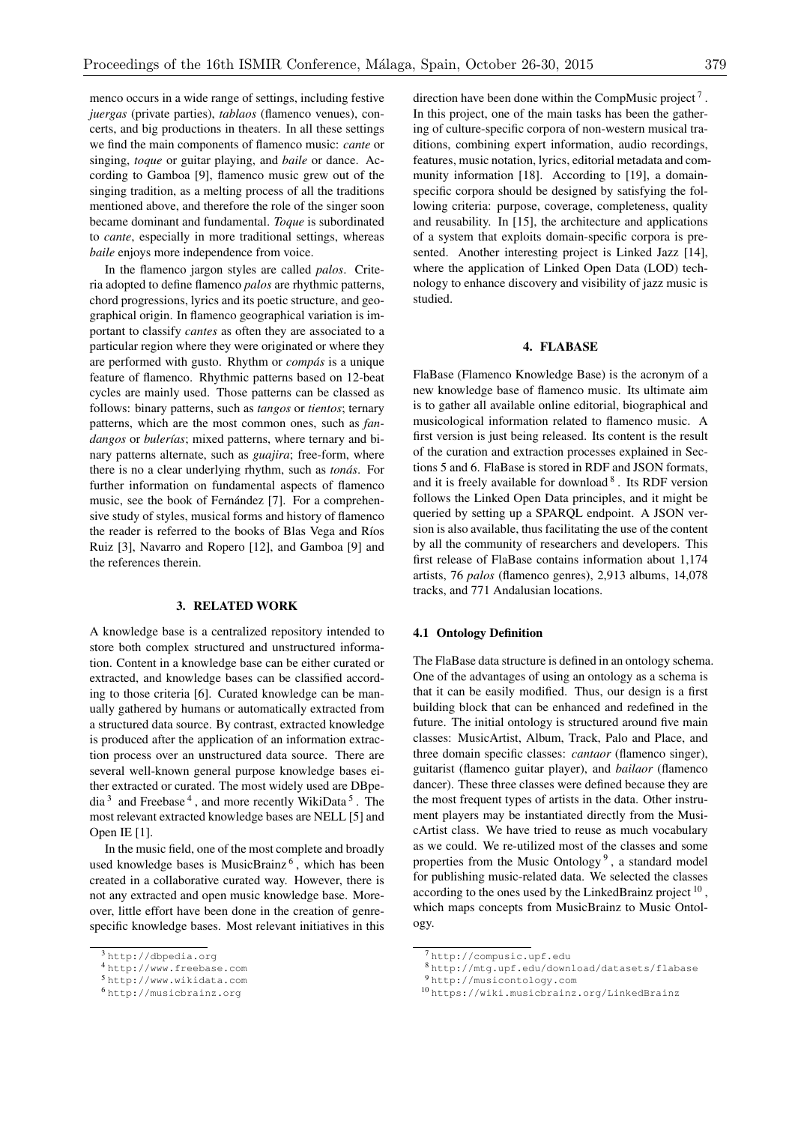menco occurs in a wide range of settings, including festive *juergas* (private parties), *tablaos* (flamenco venues), concerts, and big productions in theaters. In all these settings we find the main components of flamenco music: *cante* or singing, *toque* or guitar playing, and *baile* or dance. According to Gamboa [9], flamenco music grew out of the singing tradition, as a melting process of all the traditions mentioned above, and therefore the role of the singer soon became dominant and fundamental. *Toque* is subordinated to *cante*, especially in more traditional settings, whereas *baile* enjoys more independence from voice.

In the flamenco jargon styles are called *palos*. Criteria adopted to define flamenco *palos* are rhythmic patterns, chord progressions, lyrics and its poetic structure, and geographical origin. In flamenco geographical variation is important to classify *cantes* as often they are associated to a particular region where they were originated or where they are performed with gusto. Rhythm or *compas´* is a unique feature of flamenco. Rhythmic patterns based on 12-beat cycles are mainly used. Those patterns can be classed as follows: binary patterns, such as *tangos* or *tientos*; ternary patterns, which are the most common ones, such as *fan*dangos or *bulerías*; mixed patterns, where ternary and binary patterns alternate, such as *guajira*; free-form, where there is no a clear underlying rhythm, such as *tonás*. For further information on fundamental aspects of flamenco music, see the book of Fernández [7]. For a comprehensive study of styles, musical forms and history of flamenco the reader is referred to the books of Blas Vega and Ríos Ruiz [3], Navarro and Ropero [12], and Gamboa [9] and the references therein.

### 3. RELATED WORK

A knowledge base is a centralized repository intended to store both complex structured and unstructured information. Content in a knowledge base can be either curated or extracted, and knowledge bases can be classified according to those criteria [6]. Curated knowledge can be manually gathered by humans or automatically extracted from a structured data source. By contrast, extracted knowledge is produced after the application of an information extraction process over an unstructured data source. There are several well-known general purpose knowledge bases either extracted or curated. The most widely used are DBpedia<sup>3</sup> and Freebase<sup>4</sup>, and more recently WikiData<sup>5</sup>. The most relevant extracted knowledge bases are NELL [5] and Open IE [1].

In the music field, one of the most complete and broadly used knowledge bases is MusicBrainz<sup> $6$ </sup>, which has been created in a collaborative curated way. However, there is not any extracted and open music knowledge base. Moreover, little effort have been done in the creation of genrespecific knowledge bases. Most relevant initiatives in this direction have been done within the CompMusic project<sup>7</sup>. In this project, one of the main tasks has been the gathering of culture-specific corpora of non-western musical traditions, combining expert information, audio recordings, features, music notation, lyrics, editorial metadata and community information [18]. According to [19], a domainspecific corpora should be designed by satisfying the following criteria: purpose, coverage, completeness, quality and reusability. In [15], the architecture and applications of a system that exploits domain-specific corpora is presented. Another interesting project is Linked Jazz [14], where the application of Linked Open Data (LOD) technology to enhance discovery and visibility of jazz music is studied.

### 4. FLABASE

FlaBase (Flamenco Knowledge Base) is the acronym of a new knowledge base of flamenco music. Its ultimate aim is to gather all available online editorial, biographical and musicological information related to flamenco music. A first version is just being released. Its content is the result of the curation and extraction processes explained in Sections 5 and 6. FlaBase is stored in RDF and JSON formats, and it is freely available for download  $8$ . Its RDF version follows the Linked Open Data principles, and it might be queried by setting up a SPARQL endpoint. A JSON version is also available, thus facilitating the use of the content by all the community of researchers and developers. This first release of FlaBase contains information about 1,174 artists, 76 *palos* (flamenco genres), 2,913 albums, 14,078 tracks, and 771 Andalusian locations.

# 4.1 Ontology Definition

The FlaBase data structure is defined in an ontology schema. One of the advantages of using an ontology as a schema is that it can be easily modified. Thus, our design is a first building block that can be enhanced and redefined in the future. The initial ontology is structured around five main classes: MusicArtist, Album, Track, Palo and Place, and three domain specific classes: *cantaor* (flamenco singer), guitarist (flamenco guitar player), and *bailaor* (flamenco dancer). These three classes were defined because they are the most frequent types of artists in the data. Other instrument players may be instantiated directly from the MusicArtist class. We have tried to reuse as much vocabulary as we could. We re-utilized most of the classes and some properties from the Music Ontology<sup>9</sup>, a standard model for publishing music-related data. We selected the classes according to the ones used by the LinkedBrainz project  $10$ , which maps concepts from MusicBrainz to Music Ontology.

<sup>3</sup> http://dbpedia.org

<sup>4</sup> http://www.freebase.com

<sup>5</sup> http://www.wikidata.com

<sup>6</sup> http://musicbrainz.org

<sup>7</sup> http://compusic.upf.edu

<sup>8</sup> http://mtg.upf.edu/download/datasets/flabase

<sup>9</sup> http://musicontology.com

<sup>10</sup> https://wiki.musicbrainz.org/LinkedBrainz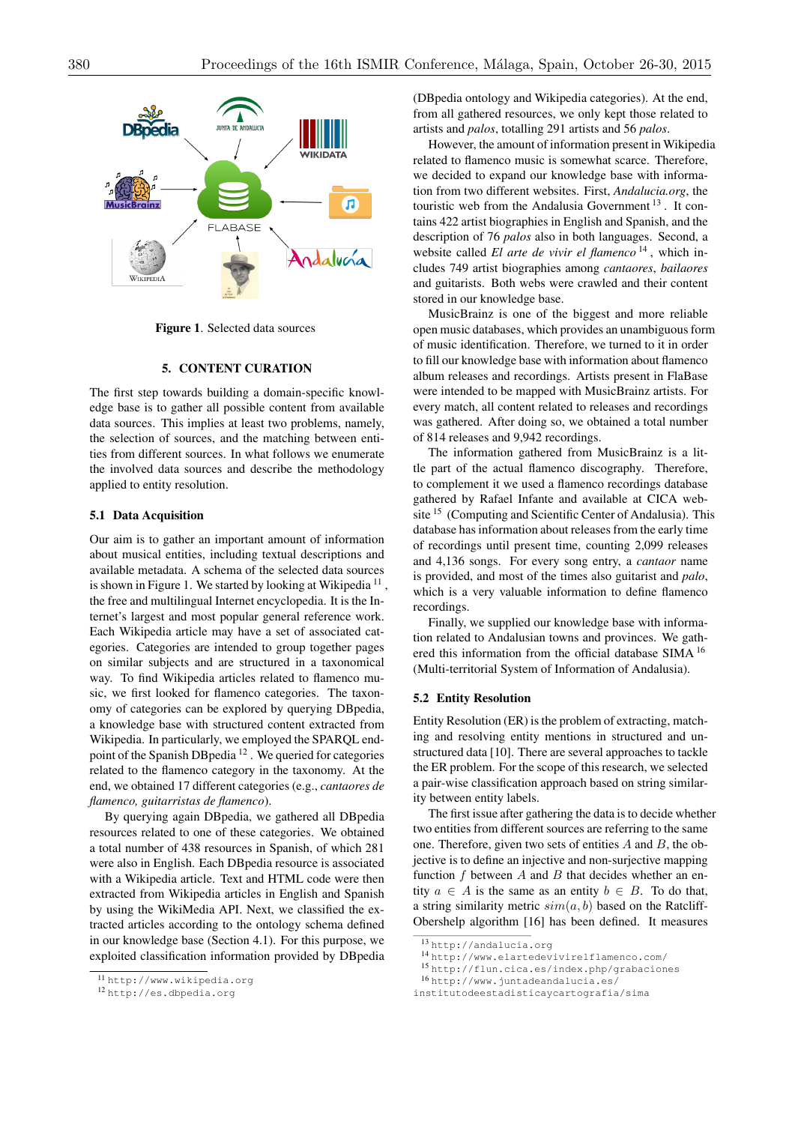

Figure 1. Selected data sources

# 5. CONTENT CURATION

The first step towards building a domain-specific knowledge base is to gather all possible content from available data sources. This implies at least two problems, namely, the selection of sources, and the matching between entities from different sources. In what follows we enumerate the involved data sources and describe the methodology applied to entity resolution.

### 5.1 Data Acquisition

Our aim is to gather an important amount of information about musical entities, including textual descriptions and available metadata. A schema of the selected data sources is shown in Figure 1. We started by looking at Wikipedia<sup>11</sup>, the free and multilingual Internet encyclopedia. It is the Internet's largest and most popular general reference work. Each Wikipedia article may have a set of associated categories. Categories are intended to group together pages on similar subjects and are structured in a taxonomical way. To find Wikipedia articles related to flamenco music, we first looked for flamenco categories. The taxonomy of categories can be explored by querying DBpedia, a knowledge base with structured content extracted from Wikipedia. In particularly, we employed the SPARQL endpoint of the Spanish DBpedia <sup>12</sup> . We queried for categories related to the flamenco category in the taxonomy. At the end, we obtained 17 different categories (e.g., *cantaores de flamenco, guitarristas de flamenco*).

By querying again DBpedia, we gathered all DBpedia resources related to one of these categories. We obtained a total number of 438 resources in Spanish, of which 281 were also in English. Each DBpedia resource is associated with a Wikipedia article. Text and HTML code were then extracted from Wikipedia articles in English and Spanish by using the WikiMedia API. Next, we classified the extracted articles according to the ontology schema defined in our knowledge base (Section 4.1). For this purpose, we exploited classification information provided by DBpedia (DBpedia ontology and Wikipedia categories). At the end, from all gathered resources, we only kept those related to artists and *palos*, totalling 291 artists and 56 *palos*.

However, the amount of information present in Wikipedia related to flamenco music is somewhat scarce. Therefore, we decided to expand our knowledge base with information from two different websites. First, *Andalucia.org*, the touristic web from the Andalusia Government  $^{13}$ . It contains 422 artist biographies in English and Spanish, and the description of 76 *palos* also in both languages. Second, a website called *El arte de vivir el flamenco*<sup>14</sup>, which includes 749 artist biographies among *cantaores*, *bailaores* and guitarists. Both webs were crawled and their content stored in our knowledge base.

MusicBrainz is one of the biggest and more reliable open music databases, which provides an unambiguous form of music identification. Therefore, we turned to it in order to fill our knowledge base with information about flamenco album releases and recordings. Artists present in FlaBase were intended to be mapped with MusicBrainz artists. For every match, all content related to releases and recordings was gathered. After doing so, we obtained a total number of 814 releases and 9,942 recordings.

The information gathered from MusicBrainz is a little part of the actual flamenco discography. Therefore, to complement it we used a flamenco recordings database gathered by Rafael Infante and available at CICA website <sup>15</sup> (Computing and Scientific Center of Andalusia). This database has information about releases from the early time of recordings until present time, counting 2,099 releases and 4,136 songs. For every song entry, a *cantaor* name is provided, and most of the times also guitarist and *palo*, which is a very valuable information to define flamenco recordings.

Finally, we supplied our knowledge base with information related to Andalusian towns and provinces. We gathered this information from the official database SIMA <sup>16</sup> (Multi-territorial System of Information of Andalusia).

#### 5.2 Entity Resolution

Entity Resolution (ER) is the problem of extracting, matching and resolving entity mentions in structured and unstructured data [10]. There are several approaches to tackle the ER problem. For the scope of this research, we selected a pair-wise classification approach based on string similarity between entity labels.

The first issue after gathering the data is to decide whether two entities from different sources are referring to the same one. Therefore, given two sets of entities *A* and *B*, the objective is to define an injective and non-surjective mapping function *f* between *A* and *B* that decides whether an entity  $a \in A$  is the same as an entity  $b \in B$ . To do that, a string similarity metric  $sim(a, b)$  based on the Ratcliff-Obershelp algorithm [16] has been defined. It measures

<sup>11</sup> http://www.wikipedia.org

<sup>12</sup> http://es.dbpedia.org

<sup>13</sup> http://andalucia.org

<sup>14</sup> http://www.elartedevivirelflamenco.com/

<sup>15</sup> http://flun.cica.es/index.php/grabaciones

<sup>16</sup> http://www.juntadeandalucia.es/

institutodeestadisticaycartografia/sima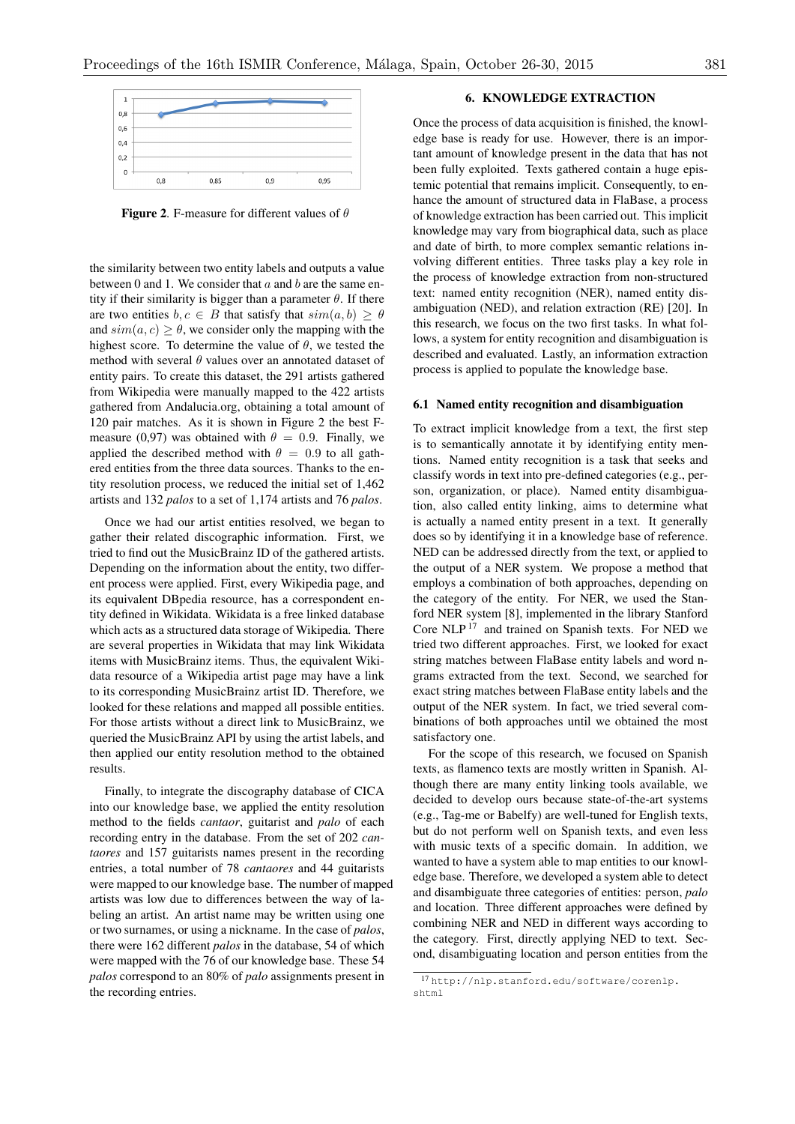

**Figure 2.** F-measure for different values of  $\theta$ 

the similarity between two entity labels and outputs a value between 0 and 1. We consider that *a* and *b* are the same entity if their similarity is bigger than a parameter  $\theta$ . If there are two entities  $b, c \in B$  that satisfy that  $sim(a, b) > \theta$ and  $sim(a, c) \ge \theta$ , we consider only the mapping with the highest score. To determine the value of  $\theta$ , we tested the method with several  $\theta$  values over an annotated dataset of entity pairs. To create this dataset, the 291 artists gathered from Wikipedia were manually mapped to the 422 artists gathered from Andalucia.org, obtaining a total amount of 120 pair matches. As it is shown in Figure 2 the best Fmeasure (0,97) was obtained with  $\theta = 0.9$ . Finally, we applied the described method with  $\theta = 0.9$  to all gathered entities from the three data sources. Thanks to the entity resolution process, we reduced the initial set of 1,462 artists and 132 *palos* to a set of 1,174 artists and 76 *palos*.

Once we had our artist entities resolved, we began to gather their related discographic information. First, we tried to find out the MusicBrainz ID of the gathered artists. Depending on the information about the entity, two different process were applied. First, every Wikipedia page, and its equivalent DBpedia resource, has a correspondent entity defined in Wikidata. Wikidata is a free linked database which acts as a structured data storage of Wikipedia. There are several properties in Wikidata that may link Wikidata items with MusicBrainz items. Thus, the equivalent Wikidata resource of a Wikipedia artist page may have a link to its corresponding MusicBrainz artist ID. Therefore, we looked for these relations and mapped all possible entities. For those artists without a direct link to MusicBrainz, we queried the MusicBrainz API by using the artist labels, and then applied our entity resolution method to the obtained results.

Finally, to integrate the discography database of CICA into our knowledge base, we applied the entity resolution method to the fields *cantaor*, guitarist and *palo* of each recording entry in the database. From the set of 202 *cantaores* and 157 guitarists names present in the recording entries, a total number of 78 *cantaores* and 44 guitarists were mapped to our knowledge base. The number of mapped artists was low due to differences between the way of labeling an artist. An artist name may be written using one or two surnames, or using a nickname. In the case of *palos*, there were 162 different *palos* in the database, 54 of which were mapped with the 76 of our knowledge base. These 54 *palos* correspond to an 80% of *palo* assignments present in the recording entries.

# 6. KNOWLEDGE EXTRACTION

Once the process of data acquisition is finished, the knowledge base is ready for use. However, there is an important amount of knowledge present in the data that has not been fully exploited. Texts gathered contain a huge epistemic potential that remains implicit. Consequently, to enhance the amount of structured data in FlaBase, a process of knowledge extraction has been carried out. This implicit knowledge may vary from biographical data, such as place and date of birth, to more complex semantic relations involving different entities. Three tasks play a key role in the process of knowledge extraction from non-structured text: named entity recognition (NER), named entity disambiguation (NED), and relation extraction (RE) [20]. In this research, we focus on the two first tasks. In what follows, a system for entity recognition and disambiguation is described and evaluated. Lastly, an information extraction process is applied to populate the knowledge base.

### 6.1 Named entity recognition and disambiguation

To extract implicit knowledge from a text, the first step is to semantically annotate it by identifying entity mentions. Named entity recognition is a task that seeks and classify words in text into pre-defined categories (e.g., person, organization, or place). Named entity disambiguation, also called entity linking, aims to determine what is actually a named entity present in a text. It generally does so by identifying it in a knowledge base of reference. NED can be addressed directly from the text, or applied to the output of a NER system. We propose a method that employs a combination of both approaches, depending on the category of the entity. For NER, we used the Stanford NER system [8], implemented in the library Stanford Core NLP <sup>17</sup> and trained on Spanish texts. For NED we tried two different approaches. First, we looked for exact string matches between FlaBase entity labels and word ngrams extracted from the text. Second, we searched for exact string matches between FlaBase entity labels and the output of the NER system. In fact, we tried several combinations of both approaches until we obtained the most satisfactory one.

For the scope of this research, we focused on Spanish texts, as flamenco texts are mostly written in Spanish. Although there are many entity linking tools available, we decided to develop ours because state-of-the-art systems (e.g., Tag-me or Babelfy) are well-tuned for English texts, but do not perform well on Spanish texts, and even less with music texts of a specific domain. In addition, we wanted to have a system able to map entities to our knowledge base. Therefore, we developed a system able to detect and disambiguate three categories of entities: person, *palo* and location. Three different approaches were defined by combining NER and NED in different ways according to the category. First, directly applying NED to text. Second, disambiguating location and person entities from the

<sup>17</sup> http://nlp.stanford.edu/software/corenlp. shtml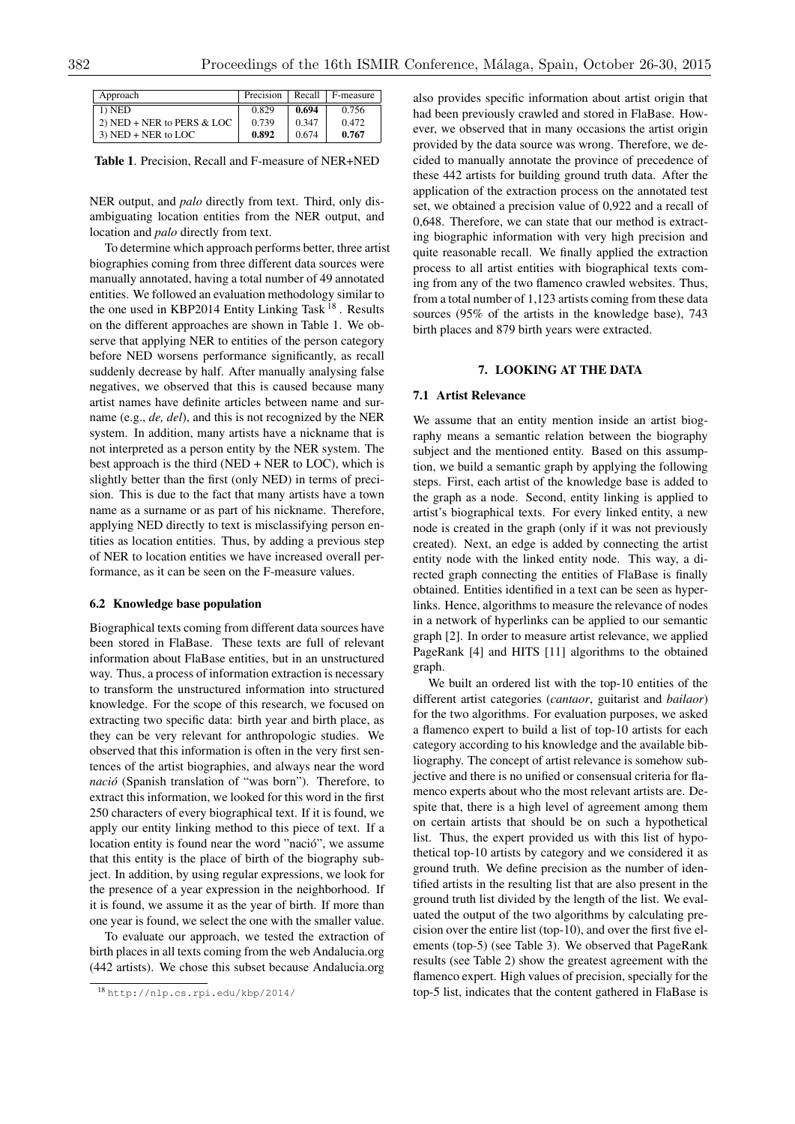| Approach                     | Precision | Recall  | F-measure |
|------------------------------|-----------|---------|-----------|
| $1)$ NED                     | 0.829     | 0.694   | 0.756     |
| 2) NED + NER to PERS $& LOC$ | 0.739     | 0 3 4 7 | 0.472     |
| $3)$ NED + NER to LOC        | 0.892     | 0.674   | 0.767     |

Table 1. Precision, Recall and F-measure of NER+NED

NER output, and *palo* directly from text. Third, only disambiguating location entities from the NER output, and location and *palo* directly from text.

To determine which approach performs better, three artist biographies coming from three different data sources were manually annotated, having a total number of 49 annotated entities. We followed an evaluation methodology similar to the one used in KBP2014 Entity Linking Task <sup>18</sup>. Results on the different approaches are shown in Table 1. We observe that applying NER to entities of the person category before NED worsens performance significantly, as recall suddenly decrease by half. After manually analysing false negatives, we observed that this is caused because many artist names have definite articles between name and surname (e.g., *de, del*), and this is not recognized by the NER system. In addition, many artists have a nickname that is not interpreted as a person entity by the NER system. The best approach is the third (NED + NER to LOC), which is slightly better than the first (only NED) in terms of precision. This is due to the fact that many artists have a town name as a surname or as part of his nickname. Therefore, applying NED directly to text is misclassifying person entities as location entities. Thus, by adding a previous step of NER to location entities we have increased overall performance, as it can be seen on the F-measure values.

### 6.2 Knowledge base population

Biographical texts coming from different data sources have been stored in FlaBase. These texts are full of relevant information about FlaBase entities, but in an unstructured way. Thus, a process of information extraction is necessary to transform the unstructured information into structured knowledge. For the scope of this research, we focused on extracting two specific data: birth year and birth place, as they can be very relevant for anthropologic studies. We observed that this information is often in the very first sentences of the artist biographies, and always near the word *nacio´* (Spanish translation of "was born"). Therefore, to extract this information, we looked for this word in the first 250 characters of every biographical text. If it is found, we apply our entity linking method to this piece of text. If a location entity is found near the word "nació", we assume that this entity is the place of birth of the biography subject. In addition, by using regular expressions, we look for the presence of a year expression in the neighborhood. If it is found, we assume it as the year of birth. If more than one year is found, we select the one with the smaller value.

To evaluate our approach, we tested the extraction of birth places in all texts coming from the web Andalucia.org (442 artists). We chose this subset because Andalucia.org also provides specific information about artist origin that had been previously crawled and stored in FlaBase. However, we observed that in many occasions the artist origin provided by the data source was wrong. Therefore, we decided to manually annotate the province of precedence of these 442 artists for building ground truth data. After the application of the extraction process on the annotated test set, we obtained a precision value of 0,922 and a recall of 0,648. Therefore, we can state that our method is extracting biographic information with very high precision and quite reasonable recall. We finally applied the extraction process to all artist entities with biographical texts coming from any of the two flamenco crawled websites. Thus, from a total number of 1,123 artists coming from these data sources (95% of the artists in the knowledge base), 743 birth places and 879 birth years were extracted.

#### 7. LOOKING AT THE DATA

# 7.1 Artist Relevance

We assume that an entity mention inside an artist biography means a semantic relation between the biography subject and the mentioned entity. Based on this assumption, we build a semantic graph by applying the following steps. First, each artist of the knowledge base is added to the graph as a node. Second, entity linking is applied to artist's biographical texts. For every linked entity, a new node is created in the graph (only if it was not previously created). Next, an edge is added by connecting the artist entity node with the linked entity node. This way, a directed graph connecting the entities of FlaBase is finally obtained. Entities identified in a text can be seen as hyperlinks. Hence, algorithms to measure the relevance of nodes in a network of hyperlinks can be applied to our semantic graph [2]. In order to measure artist relevance, we applied PageRank [4] and HITS [11] algorithms to the obtained graph.

We built an ordered list with the top-10 entities of the different artist categories (*cantaor*, guitarist and *bailaor*) for the two algorithms. For evaluation purposes, we asked a flamenco expert to build a list of top-10 artists for each category according to his knowledge and the available bibliography. The concept of artist relevance is somehow subjective and there is no unified or consensual criteria for flamenco experts about who the most relevant artists are. Despite that, there is a high level of agreement among them on certain artists that should be on such a hypothetical list. Thus, the expert provided us with this list of hypothetical top-10 artists by category and we considered it as ground truth. We define precision as the number of identified artists in the resulting list that are also present in the ground truth list divided by the length of the list. We evaluated the output of the two algorithms by calculating precision over the entire list (top-10), and over the first five elements (top-5) (see Table 3). We observed that PageRank results (see Table 2) show the greatest agreement with the flamenco expert. High values of precision, specially for the top-5 list, indicates that the content gathered in FlaBase is

<sup>18</sup> http://nlp.cs.rpi.edu/kbp/2014/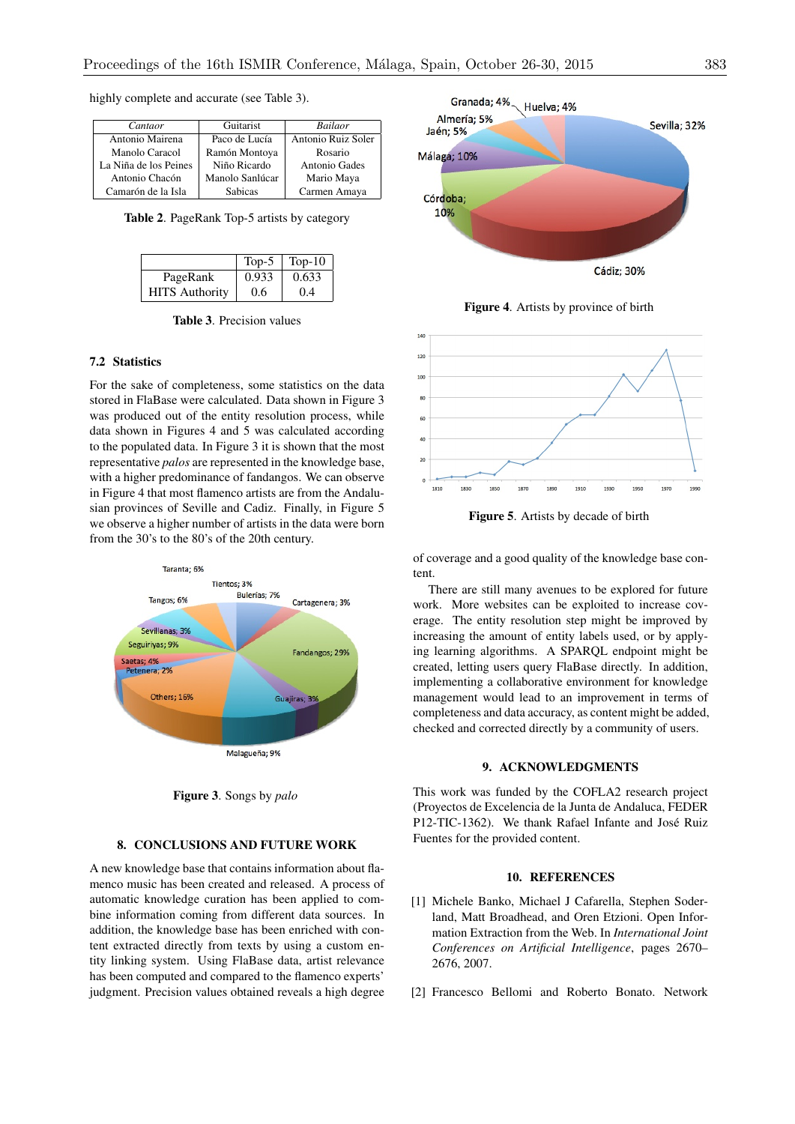| Cantaor               | Guitarist       | <b>Bailaor</b>     |
|-----------------------|-----------------|--------------------|
| Antonio Mairena       | Paco de Lucía   | Antonio Ruiz Soler |
| Manolo Caracol        | Ramón Montoya   | Rosario            |
| La Niña de los Peines | Niño Ricardo    | Antonio Gades      |
| Antonio Chacón        | Manolo Sanlúcar | Mario Maya         |
| Camarón de la Isla    | <b>Sabicas</b>  | Carmen Amaya       |

highly complete and accurate (see Table 3).

Table 2. PageRank Top-5 artists by category

|                       | $Top-5$ | Top- $10$ |
|-----------------------|---------|-----------|
| PageRank              | 0.933   | 0.633     |
| <b>HITS</b> Authority | 0.6     | (0.4)     |

Table 3. Precision values

### 7.2 Statistics

For the sake of completeness, some statistics on the data stored in FlaBase were calculated. Data shown in Figure 3 was produced out of the entity resolution process, while data shown in Figures 4 and 5 was calculated according to the populated data. In Figure 3 it is shown that the most representative *palos* are represented in the knowledge base, with a higher predominance of fandangos. We can observe in Figure 4 that most flamenco artists are from the Andalusian provinces of Seville and Cadiz. Finally, in Figure 5 we observe a higher number of artists in the data were born from the 30's to the 80's of the 20th century.



Figure 3. Songs by *palo*

# 8. CONCLUSIONS AND FUTURE WORK

A new knowledge base that contains information about flamenco music has been created and released. A process of automatic knowledge curation has been applied to combine information coming from different data sources. In addition, the knowledge base has been enriched with content extracted directly from texts by using a custom entity linking system. Using FlaBase data, artist relevance has been computed and compared to the flamenco experts' judgment. Precision values obtained reveals a high degree



Figure 4. Artists by province of birth



Figure 5. Artists by decade of birth

of coverage and a good quality of the knowledge base content.

There are still many avenues to be explored for future work. More websites can be exploited to increase coverage. The entity resolution step might be improved by increasing the amount of entity labels used, or by applying learning algorithms. A SPARQL endpoint might be created, letting users query FlaBase directly. In addition, implementing a collaborative environment for knowledge management would lead to an improvement in terms of completeness and data accuracy, as content might be added, checked and corrected directly by a community of users.

# 9. ACKNOWLEDGMENTS

This work was funded by the COFLA2 research project (Proyectos de Excelencia de la Junta de Andaluca, FEDER P12-TIC-1362). We thank Rafael Infante and José Ruiz Fuentes for the provided content.

# 10. REFERENCES

- [1] Michele Banko, Michael J Cafarella, Stephen Soderland, Matt Broadhead, and Oren Etzioni. Open Information Extraction from the Web. In *International Joint Conferences on Artificial Intelligence*, pages 2670– 2676, 2007.
- [2] Francesco Bellomi and Roberto Bonato. Network